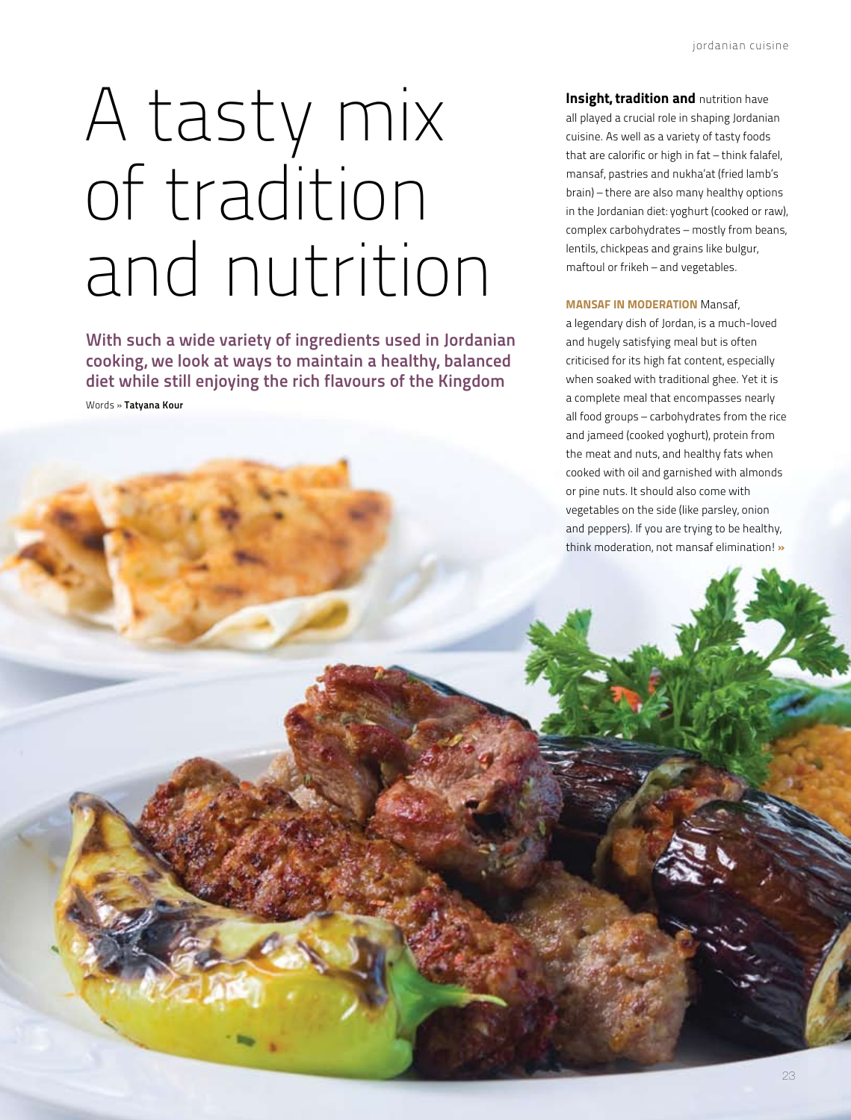# A tasty mix of tradition and nutrition

With such a wide variety of ingredients used in Jordanian cooking, we look at ways to maintain a healthy, balanced diet while still enjoying the rich flavours of the Kingdom

Words » Tatyana Kour

Insight, tradition and nutrition have all played a crucial role in shaping Jordanian cuisine. As well as a variety of tasty foods that are calorific or high in fat – think falafel, mansaf, pastries and nukha'at (fried lamb's brain) – there are also many healthy options in the Jordanian diet: yoghurt (cooked or raw), complex carbohydrates – mostly from beans, lentils, chickpeas and grains like bulgur, maftoul or frikeh – and vegetables.

### **MANSAF IN MODERATION Mansaf,**

a legendary dish of Jordan, is a much-loved and hugely satisfying meal but is often criticised for its high fat content, especially when soaked with traditional ghee. Yet it is a complete meal that encompasses nearly all food groups – carbohydrates from the rice and jameed (cooked yoghurt), protein from the meat and nuts, and healthy fats when cooked with oil and garnished with almonds or pine nuts. It should also come with vegetables on the side (like parsley, onion and peppers). If you are trying to be healthy, think moderation, not mansaf elimination! »